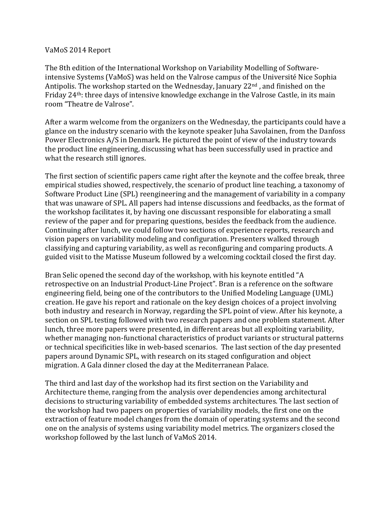## VaMoS 2014 Report

The 8th edition of the International Workshop on Variability Modelling of Softwareintensive Systems (VaMoS) was held on the Valrose campus of the Université Nice Sophia Antipolis. The workshop started on the Wednesday, January  $22<sup>nd</sup>$ , and finished on the Friday 24<sup>th</sup>: three days of intensive knowledge exchange in the Valrose Castle, in its main room "Theatre de Valrose".

After a warm welcome from the organizers on the Wednesday, the participants could have a glance on the industry scenario with the keynote speaker Juha Savolainen, from the Danfoss Power Electronics A/S in Denmark. He pictured the point of view of the industry towards the product line engineering, discussing what has been successfully used in practice and what the research still ignores.

The first section of scientific papers came right after the keynote and the coffee break, three empirical studies showed, respectively, the scenario of product line teaching, a taxonomy of Software Product Line (SPL) reengineering and the management of variability in a company that was unaware of SPL. All papers had intense discussions and feedbacks, as the format of the workshop facilitates it, by having one discussant responsible for elaborating a small review of the paper and for preparing questions, besides the feedback from the audience. Continuing after lunch, we could follow two sections of experience reports, research and vision papers on variability modeling and configuration. Presenters walked through classifying and capturing variability, as well as reconfiguring and comparing products. A guided visit to the Matisse Museum followed by a welcoming cocktail closed the first day.

Bran Selic opened the second day of the workshop, with his keynote entitled "A retrospective on an Industrial Product-Line Project". Bran is a reference on the software engineering field, being one of the contributors to the Unified Modeling Language (UML) creation. He gave his report and rationale on the key design choices of a project involving both industry and research in Norway, regarding the SPL point of view. After his keynote, a section on SPL testing followed with two research papers and one problem statement. After lunch, three more papers were presented, in different areas but all exploiting variability, whether managing non-functional characteristics of product variants or structural patterns or technical specificities like in web-based scenarios. The last section of the day presented papers around Dynamic SPL, with research on its staged configuration and object migration. A Gala dinner closed the day at the Mediterranean Palace.

The third and last day of the workshop had its first section on the Variability and Architecture theme, ranging from the analysis over dependencies among architectural decisions to structuring variability of embedded systems architectures. The last section of the workshop had two papers on properties of variability models, the first one on the extraction of feature model changes from the domain of operating systems and the second one on the analysis of systems using variability model metrics. The organizers closed the workshop followed by the last lunch of VaMoS 2014.